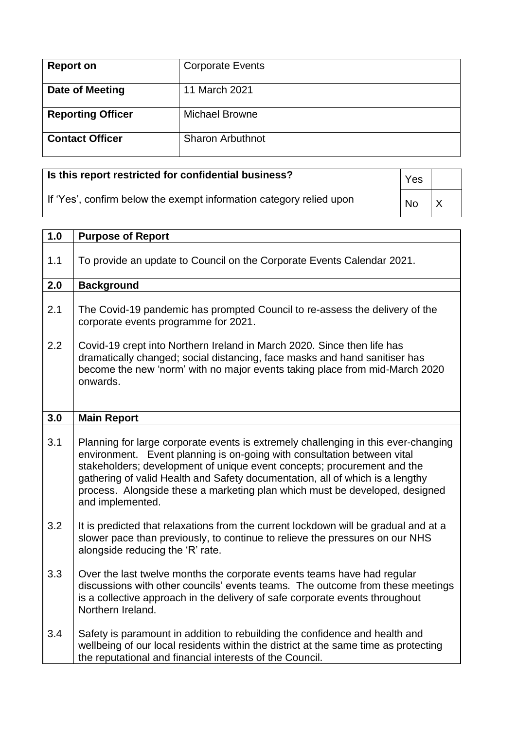| <b>Report on</b>         | <b>Corporate Events</b> |
|--------------------------|-------------------------|
| Date of Meeting          | 11 March 2021           |
| <b>Reporting Officer</b> | <b>Michael Browne</b>   |
| <b>Contact Officer</b>   | <b>Sharon Arbuthnot</b> |

## **Is this report restricted for confidential business?**

If 'Yes', confirm below the exempt information category relied upon

Yes  $\overline{N_0}$   $\overline{X}$ 

| 1.0 | <b>Purpose of Report</b>                                                                                                                                                                                                                                                                                                                                                                                                     |
|-----|------------------------------------------------------------------------------------------------------------------------------------------------------------------------------------------------------------------------------------------------------------------------------------------------------------------------------------------------------------------------------------------------------------------------------|
| 1.1 | To provide an update to Council on the Corporate Events Calendar 2021.                                                                                                                                                                                                                                                                                                                                                       |
| 2.0 | <b>Background</b>                                                                                                                                                                                                                                                                                                                                                                                                            |
| 2.1 | The Covid-19 pandemic has prompted Council to re-assess the delivery of the<br>corporate events programme for 2021.                                                                                                                                                                                                                                                                                                          |
| 2.2 | Covid-19 crept into Northern Ireland in March 2020. Since then life has<br>dramatically changed; social distancing, face masks and hand sanitiser has<br>become the new 'norm' with no major events taking place from mid-March 2020<br>onwards.                                                                                                                                                                             |
| 3.0 | <b>Main Report</b>                                                                                                                                                                                                                                                                                                                                                                                                           |
| 3.1 | Planning for large corporate events is extremely challenging in this ever-changing<br>environment. Event planning is on-going with consultation between vital<br>stakeholders; development of unique event concepts; procurement and the<br>gathering of valid Health and Safety documentation, all of which is a lengthy<br>process. Alongside these a marketing plan which must be developed, designed<br>and implemented. |
| 3.2 | It is predicted that relaxations from the current lockdown will be gradual and at a<br>slower pace than previously, to continue to relieve the pressures on our NHS<br>alongside reducing the 'R' rate.                                                                                                                                                                                                                      |
| 3.3 | Over the last twelve months the corporate events teams have had regular<br>discussions with other councils' events teams. The outcome from these meetings<br>is a collective approach in the delivery of safe corporate events throughout<br>Northern Ireland.                                                                                                                                                               |
| 3.4 | Safety is paramount in addition to rebuilding the confidence and health and<br>wellbeing of our local residents within the district at the same time as protecting<br>the reputational and financial interests of the Council.                                                                                                                                                                                               |